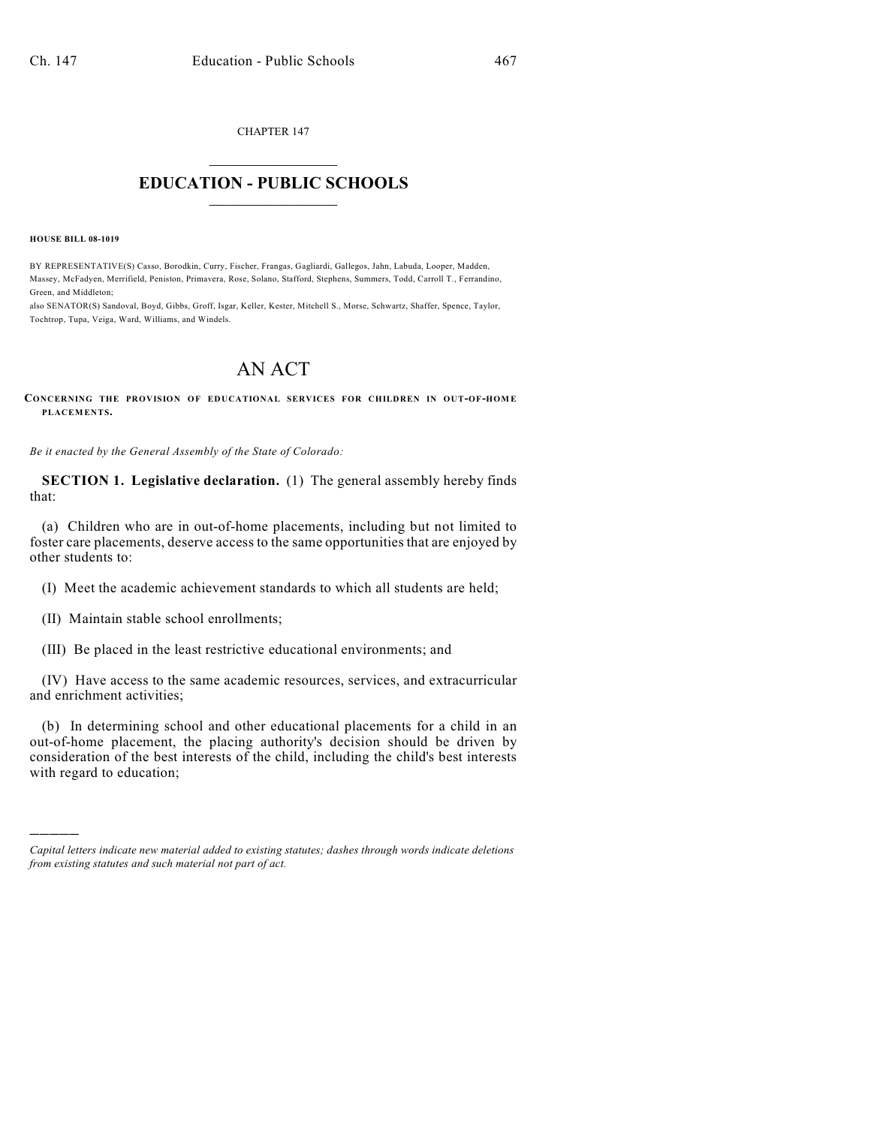CHAPTER 147

## $\mathcal{L}_\text{max}$  . The set of the set of the set of the set of the set of the set of the set of the set of the set of the set of the set of the set of the set of the set of the set of the set of the set of the set of the set **EDUCATION - PUBLIC SCHOOLS**  $\_$   $\_$   $\_$   $\_$   $\_$   $\_$   $\_$   $\_$   $\_$

**HOUSE BILL 08-1019**

)))))

BY REPRESENTATIVE(S) Casso, Borodkin, Curry, Fischer, Frangas, Gagliardi, Gallegos, Jahn, Labuda, Looper, Madden, Massey, McFadyen, Merrifield, Peniston, Primavera, Rose, Solano, Stafford, Stephens, Summers, Todd, Carroll T., Ferrandino, Green, and Middleton;

also SENATOR(S) Sandoval, Boyd, Gibbs, Groff, Isgar, Keller, Kester, Mitchell S., Morse, Schwartz, Shaffer, Spence, Taylor, Tochtrop, Tupa, Veiga, Ward, Williams, and Windels.

## AN ACT

**CONCERNING THE PROVISION OF EDUCATIONAL SERVICES FOR CHILDREN IN OUT-OF-HOM E PLACEMENTS.**

*Be it enacted by the General Assembly of the State of Colorado:*

**SECTION 1. Legislative declaration.** (1) The general assembly hereby finds that:

(a) Children who are in out-of-home placements, including but not limited to foster care placements, deserve access to the same opportunities that are enjoyed by other students to:

(I) Meet the academic achievement standards to which all students are held;

(II) Maintain stable school enrollments;

(III) Be placed in the least restrictive educational environments; and

(IV) Have access to the same academic resources, services, and extracurricular and enrichment activities;

(b) In determining school and other educational placements for a child in an out-of-home placement, the placing authority's decision should be driven by consideration of the best interests of the child, including the child's best interests with regard to education;

*Capital letters indicate new material added to existing statutes; dashes through words indicate deletions from existing statutes and such material not part of act.*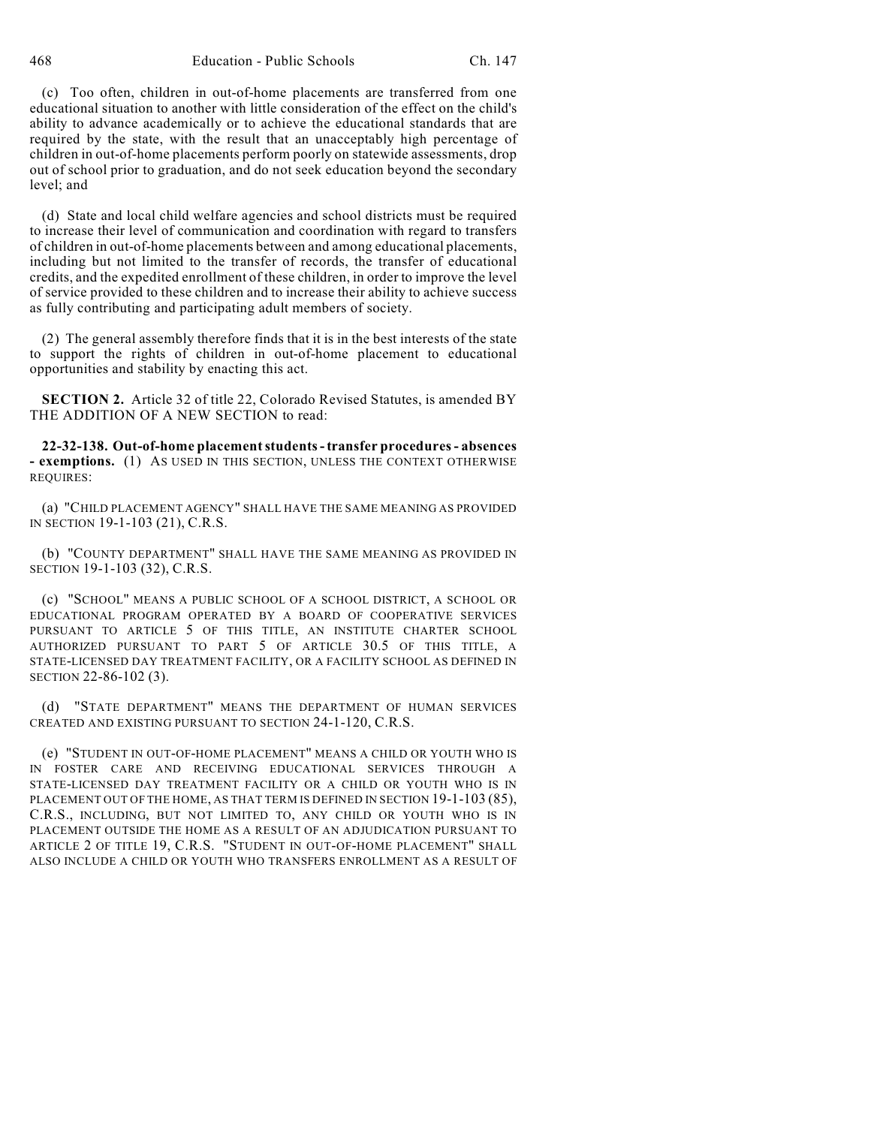468 Education - Public Schools Ch. 147

(c) Too often, children in out-of-home placements are transferred from one educational situation to another with little consideration of the effect on the child's ability to advance academically or to achieve the educational standards that are required by the state, with the result that an unacceptably high percentage of children in out-of-home placements perform poorly on statewide assessments, drop out of school prior to graduation, and do not seek education beyond the secondary level; and

(d) State and local child welfare agencies and school districts must be required to increase their level of communication and coordination with regard to transfers of children in out-of-home placements between and among educational placements, including but not limited to the transfer of records, the transfer of educational credits, and the expedited enrollment of these children, in order to improve the level of service provided to these children and to increase their ability to achieve success as fully contributing and participating adult members of society.

(2) The general assembly therefore finds that it is in the best interests of the state to support the rights of children in out-of-home placement to educational opportunities and stability by enacting this act.

**SECTION 2.** Article 32 of title 22, Colorado Revised Statutes, is amended BY THE ADDITION OF A NEW SECTION to read:

**22-32-138. Out-of-home placement students - transfer procedures - absences - exemptions.** (1) AS USED IN THIS SECTION, UNLESS THE CONTEXT OTHERWISE REQUIRES:

(a) "CHILD PLACEMENT AGENCY" SHALL HAVE THE SAME MEANING AS PROVIDED IN SECTION 19-1-103 (21), C.R.S.

(b) "COUNTY DEPARTMENT" SHALL HAVE THE SAME MEANING AS PROVIDED IN SECTION 19-1-103 (32), C.R.S.

(c) "SCHOOL" MEANS A PUBLIC SCHOOL OF A SCHOOL DISTRICT, A SCHOOL OR EDUCATIONAL PROGRAM OPERATED BY A BOARD OF COOPERATIVE SERVICES PURSUANT TO ARTICLE 5 OF THIS TITLE, AN INSTITUTE CHARTER SCHOOL AUTHORIZED PURSUANT TO PART 5 OF ARTICLE 30.5 OF THIS TITLE, A STATE-LICENSED DAY TREATMENT FACILITY, OR A FACILITY SCHOOL AS DEFINED IN SECTION 22-86-102 (3).

(d) "STATE DEPARTMENT" MEANS THE DEPARTMENT OF HUMAN SERVICES CREATED AND EXISTING PURSUANT TO SECTION 24-1-120, C.R.S.

(e) "STUDENT IN OUT-OF-HOME PLACEMENT" MEANS A CHILD OR YOUTH WHO IS IN FOSTER CARE AND RECEIVING EDUCATIONAL SERVICES THROUGH A STATE-LICENSED DAY TREATMENT FACILITY OR A CHILD OR YOUTH WHO IS IN PLACEMENT OUT OF THE HOME, AS THAT TERM IS DEFINED IN SECTION 19-1-103 (85), C.R.S., INCLUDING, BUT NOT LIMITED TO, ANY CHILD OR YOUTH WHO IS IN PLACEMENT OUTSIDE THE HOME AS A RESULT OF AN ADJUDICATION PURSUANT TO ARTICLE 2 OF TITLE 19, C.R.S. "STUDENT IN OUT-OF-HOME PLACEMENT" SHALL ALSO INCLUDE A CHILD OR YOUTH WHO TRANSFERS ENROLLMENT AS A RESULT OF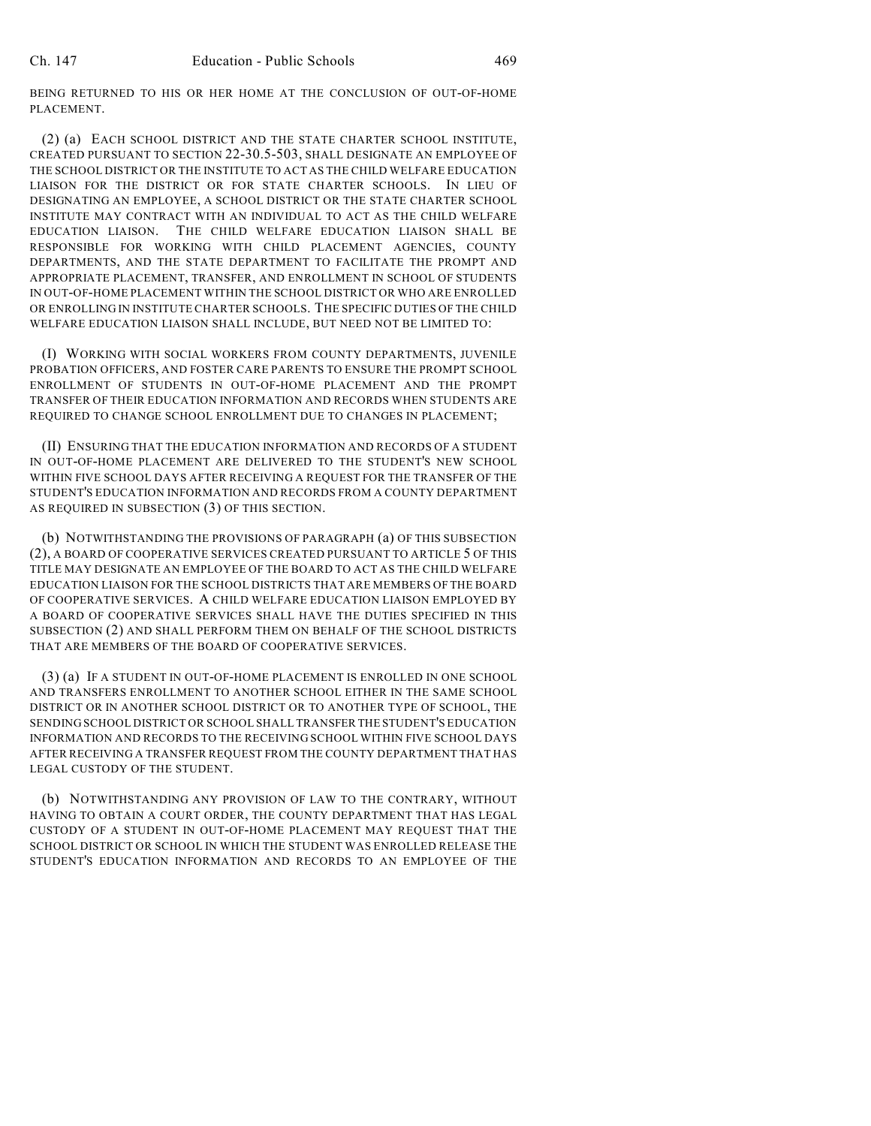BEING RETURNED TO HIS OR HER HOME AT THE CONCLUSION OF OUT-OF-HOME PLACEMENT.

(2) (a) EACH SCHOOL DISTRICT AND THE STATE CHARTER SCHOOL INSTITUTE, CREATED PURSUANT TO SECTION 22-30.5-503, SHALL DESIGNATE AN EMPLOYEE OF THE SCHOOL DISTRICT OR THE INSTITUTE TO ACT AS THE CHILD WELFARE EDUCATION LIAISON FOR THE DISTRICT OR FOR STATE CHARTER SCHOOLS. IN LIEU OF DESIGNATING AN EMPLOYEE, A SCHOOL DISTRICT OR THE STATE CHARTER SCHOOL INSTITUTE MAY CONTRACT WITH AN INDIVIDUAL TO ACT AS THE CHILD WELFARE EDUCATION LIAISON. THE CHILD WELFARE EDUCATION LIAISON SHALL BE RESPONSIBLE FOR WORKING WITH CHILD PLACEMENT AGENCIES, COUNTY DEPARTMENTS, AND THE STATE DEPARTMENT TO FACILITATE THE PROMPT AND APPROPRIATE PLACEMENT, TRANSFER, AND ENROLLMENT IN SCHOOL OF STUDENTS IN OUT-OF-HOME PLACEMENT WITHIN THE SCHOOL DISTRICT OR WHO ARE ENROLLED OR ENROLLING IN INSTITUTE CHARTER SCHOOLS. THE SPECIFIC DUTIES OF THE CHILD WELFARE EDUCATION LIAISON SHALL INCLUDE, BUT NEED NOT BE LIMITED TO:

(I) WORKING WITH SOCIAL WORKERS FROM COUNTY DEPARTMENTS, JUVENILE PROBATION OFFICERS, AND FOSTER CARE PARENTS TO ENSURE THE PROMPT SCHOOL ENROLLMENT OF STUDENTS IN OUT-OF-HOME PLACEMENT AND THE PROMPT TRANSFER OF THEIR EDUCATION INFORMATION AND RECORDS WHEN STUDENTS ARE REQUIRED TO CHANGE SCHOOL ENROLLMENT DUE TO CHANGES IN PLACEMENT;

(II) ENSURING THAT THE EDUCATION INFORMATION AND RECORDS OF A STUDENT IN OUT-OF-HOME PLACEMENT ARE DELIVERED TO THE STUDENT'S NEW SCHOOL WITHIN FIVE SCHOOL DAYS AFTER RECEIVING A REQUEST FOR THE TRANSFER OF THE STUDENT'S EDUCATION INFORMATION AND RECORDS FROM A COUNTY DEPARTMENT AS REQUIRED IN SUBSECTION (3) OF THIS SECTION.

(b) NOTWITHSTANDING THE PROVISIONS OF PARAGRAPH (a) OF THIS SUBSECTION (2), A BOARD OF COOPERATIVE SERVICES CREATED PURSUANT TO ARTICLE 5 OF THIS TITLE MAY DESIGNATE AN EMPLOYEE OF THE BOARD TO ACT AS THE CHILD WELFARE EDUCATION LIAISON FOR THE SCHOOL DISTRICTS THAT ARE MEMBERS OF THE BOARD OF COOPERATIVE SERVICES. A CHILD WELFARE EDUCATION LIAISON EMPLOYED BY A BOARD OF COOPERATIVE SERVICES SHALL HAVE THE DUTIES SPECIFIED IN THIS SUBSECTION (2) AND SHALL PERFORM THEM ON BEHALF OF THE SCHOOL DISTRICTS THAT ARE MEMBERS OF THE BOARD OF COOPERATIVE SERVICES.

(3) (a) IF A STUDENT IN OUT-OF-HOME PLACEMENT IS ENROLLED IN ONE SCHOOL AND TRANSFERS ENROLLMENT TO ANOTHER SCHOOL EITHER IN THE SAME SCHOOL DISTRICT OR IN ANOTHER SCHOOL DISTRICT OR TO ANOTHER TYPE OF SCHOOL, THE SENDING SCHOOL DISTRICT OR SCHOOL SHALL TRANSFER THE STUDENT'S EDUCATION INFORMATION AND RECORDS TO THE RECEIVING SCHOOL WITHIN FIVE SCHOOL DAYS AFTER RECEIVING A TRANSFER REQUEST FROM THE COUNTY DEPARTMENT THAT HAS LEGAL CUSTODY OF THE STUDENT.

(b) NOTWITHSTANDING ANY PROVISION OF LAW TO THE CONTRARY, WITHOUT HAVING TO OBTAIN A COURT ORDER, THE COUNTY DEPARTMENT THAT HAS LEGAL CUSTODY OF A STUDENT IN OUT-OF-HOME PLACEMENT MAY REQUEST THAT THE SCHOOL DISTRICT OR SCHOOL IN WHICH THE STUDENT WAS ENROLLED RELEASE THE STUDENT'S EDUCATION INFORMATION AND RECORDS TO AN EMPLOYEE OF THE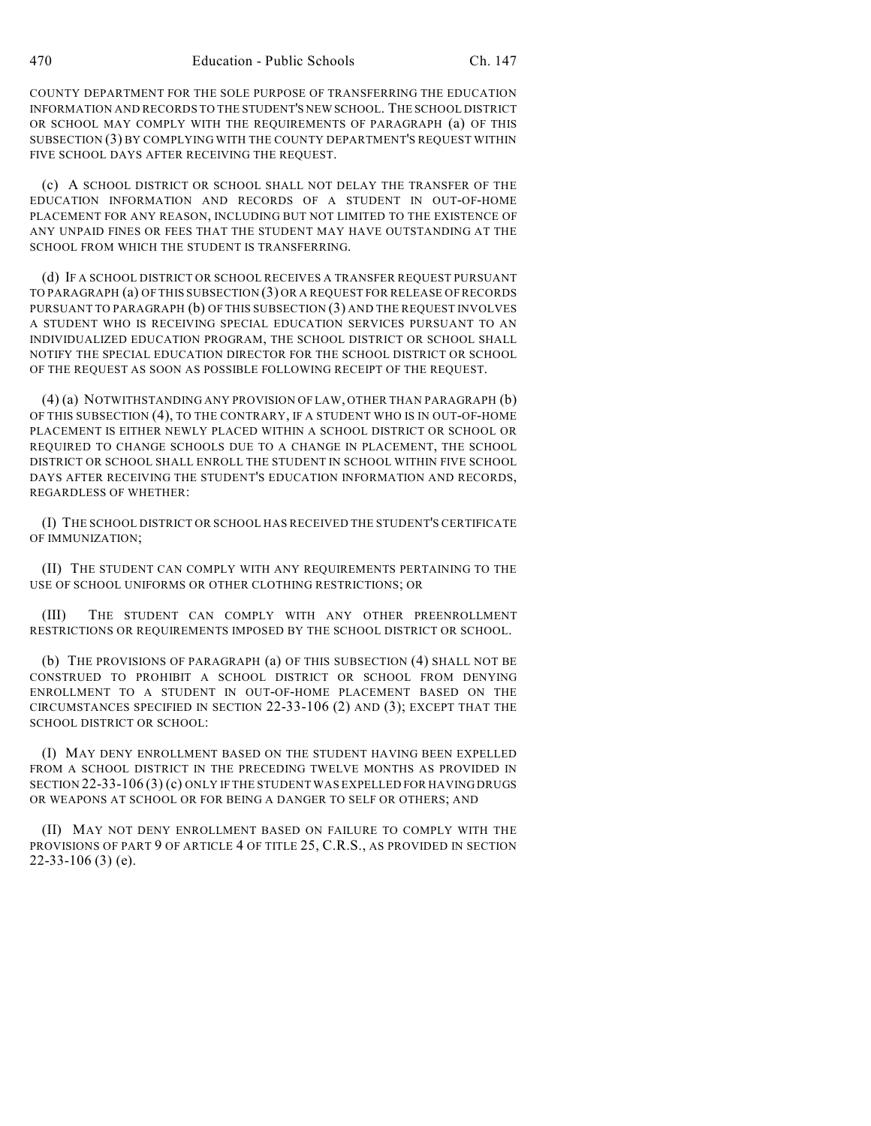COUNTY DEPARTMENT FOR THE SOLE PURPOSE OF TRANSFERRING THE EDUCATION INFORMATION AND RECORDS TO THE STUDENT'S NEW SCHOOL. THE SCHOOL DISTRICT OR SCHOOL MAY COMPLY WITH THE REQUIREMENTS OF PARAGRAPH (a) OF THIS SUBSECTION (3) BY COMPLYING WITH THE COUNTY DEPARTMENT'S REQUEST WITHIN FIVE SCHOOL DAYS AFTER RECEIVING THE REQUEST.

(c) A SCHOOL DISTRICT OR SCHOOL SHALL NOT DELAY THE TRANSFER OF THE EDUCATION INFORMATION AND RECORDS OF A STUDENT IN OUT-OF-HOME PLACEMENT FOR ANY REASON, INCLUDING BUT NOT LIMITED TO THE EXISTENCE OF ANY UNPAID FINES OR FEES THAT THE STUDENT MAY HAVE OUTSTANDING AT THE SCHOOL FROM WHICH THE STUDENT IS TRANSFERRING.

(d) IF A SCHOOL DISTRICT OR SCHOOL RECEIVES A TRANSFER REQUEST PURSUANT TO PARAGRAPH (a) OF THIS SUBSECTION (3) OR A REQUEST FOR RELEASE OF RECORDS PURSUANT TO PARAGRAPH (b) OF THIS SUBSECTION (3) AND THE REQUEST INVOLVES A STUDENT WHO IS RECEIVING SPECIAL EDUCATION SERVICES PURSUANT TO AN INDIVIDUALIZED EDUCATION PROGRAM, THE SCHOOL DISTRICT OR SCHOOL SHALL NOTIFY THE SPECIAL EDUCATION DIRECTOR FOR THE SCHOOL DISTRICT OR SCHOOL OF THE REQUEST AS SOON AS POSSIBLE FOLLOWING RECEIPT OF THE REQUEST.

(4) (a) NOTWITHSTANDING ANY PROVISION OF LAW, OTHER THAN PARAGRAPH (b) OF THIS SUBSECTION (4), TO THE CONTRARY, IF A STUDENT WHO IS IN OUT-OF-HOME PLACEMENT IS EITHER NEWLY PLACED WITHIN A SCHOOL DISTRICT OR SCHOOL OR REQUIRED TO CHANGE SCHOOLS DUE TO A CHANGE IN PLACEMENT, THE SCHOOL DISTRICT OR SCHOOL SHALL ENROLL THE STUDENT IN SCHOOL WITHIN FIVE SCHOOL DAYS AFTER RECEIVING THE STUDENT'S EDUCATION INFORMATION AND RECORDS, REGARDLESS OF WHETHER:

(I) THE SCHOOL DISTRICT OR SCHOOL HAS RECEIVED THE STUDENT'S CERTIFICATE OF IMMUNIZATION;

(II) THE STUDENT CAN COMPLY WITH ANY REQUIREMENTS PERTAINING TO THE USE OF SCHOOL UNIFORMS OR OTHER CLOTHING RESTRICTIONS; OR

(III) THE STUDENT CAN COMPLY WITH ANY OTHER PREENROLLMENT RESTRICTIONS OR REQUIREMENTS IMPOSED BY THE SCHOOL DISTRICT OR SCHOOL.

(b) THE PROVISIONS OF PARAGRAPH (a) OF THIS SUBSECTION (4) SHALL NOT BE CONSTRUED TO PROHIBIT A SCHOOL DISTRICT OR SCHOOL FROM DENYING ENROLLMENT TO A STUDENT IN OUT-OF-HOME PLACEMENT BASED ON THE CIRCUMSTANCES SPECIFIED IN SECTION 22-33-106 (2) AND (3); EXCEPT THAT THE SCHOOL DISTRICT OR SCHOOL:

(I) MAY DENY ENROLLMENT BASED ON THE STUDENT HAVING BEEN EXPELLED FROM A SCHOOL DISTRICT IN THE PRECEDING TWELVE MONTHS AS PROVIDED IN SECTION 22-33-106 (3) (c) ONLY IF THE STUDENT WAS EXPELLED FOR HAVING DRUGS OR WEAPONS AT SCHOOL OR FOR BEING A DANGER TO SELF OR OTHERS; AND

(II) MAY NOT DENY ENROLLMENT BASED ON FAILURE TO COMPLY WITH THE PROVISIONS OF PART 9 OF ARTICLE 4 OF TITLE 25, C.R.S., AS PROVIDED IN SECTION 22-33-106 (3) (e).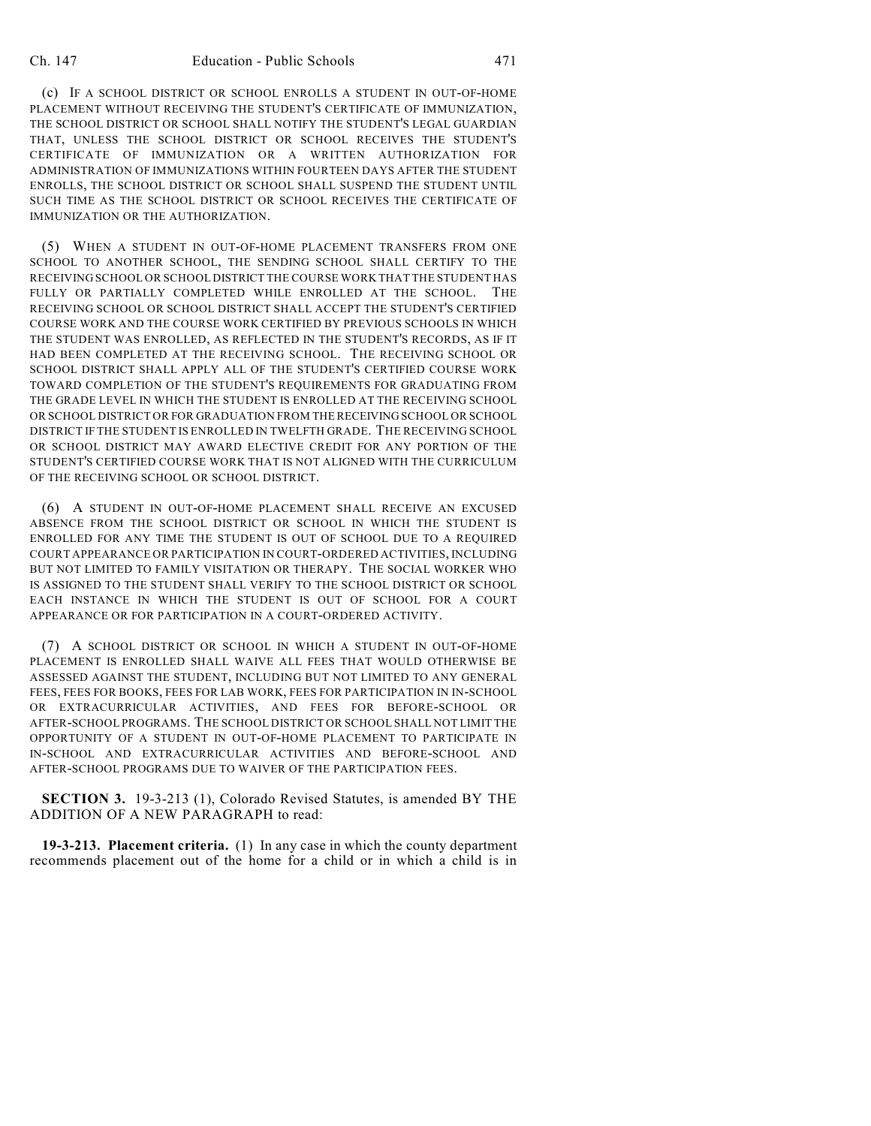(c) IF A SCHOOL DISTRICT OR SCHOOL ENROLLS A STUDENT IN OUT-OF-HOME PLACEMENT WITHOUT RECEIVING THE STUDENT'S CERTIFICATE OF IMMUNIZATION, THE SCHOOL DISTRICT OR SCHOOL SHALL NOTIFY THE STUDENT'S LEGAL GUARDIAN THAT, UNLESS THE SCHOOL DISTRICT OR SCHOOL RECEIVES THE STUDENT'S CERTIFICATE OF IMMUNIZATION OR A WRITTEN AUTHORIZATION FOR ADMINISTRATION OF IMMUNIZATIONS WITHIN FOURTEEN DAYS AFTER THE STUDENT ENROLLS, THE SCHOOL DISTRICT OR SCHOOL SHALL SUSPEND THE STUDENT UNTIL SUCH TIME AS THE SCHOOL DISTRICT OR SCHOOL RECEIVES THE CERTIFICATE OF IMMUNIZATION OR THE AUTHORIZATION.

(5) WHEN A STUDENT IN OUT-OF-HOME PLACEMENT TRANSFERS FROM ONE SCHOOL TO ANOTHER SCHOOL, THE SENDING SCHOOL SHALL CERTIFY TO THE RECEIVING SCHOOL OR SCHOOL DISTRICT THE COURSE WORK THAT THE STUDENT HAS FULLY OR PARTIALLY COMPLETED WHILE ENROLLED AT THE SCHOOL. THE RECEIVING SCHOOL OR SCHOOL DISTRICT SHALL ACCEPT THE STUDENT'S CERTIFIED COURSE WORK AND THE COURSE WORK CERTIFIED BY PREVIOUS SCHOOLS IN WHICH THE STUDENT WAS ENROLLED, AS REFLECTED IN THE STUDENT'S RECORDS, AS IF IT HAD BEEN COMPLETED AT THE RECEIVING SCHOOL. THE RECEIVING SCHOOL OR SCHOOL DISTRICT SHALL APPLY ALL OF THE STUDENT'S CERTIFIED COURSE WORK TOWARD COMPLETION OF THE STUDENT'S REQUIREMENTS FOR GRADUATING FROM THE GRADE LEVEL IN WHICH THE STUDENT IS ENROLLED AT THE RECEIVING SCHOOL OR SCHOOL DISTRICT OR FOR GRADUATION FROM THE RECEIVING SCHOOL OR SCHOOL DISTRICT IF THE STUDENT IS ENROLLED IN TWELFTH GRADE. THE RECEIVING SCHOOL OR SCHOOL DISTRICT MAY AWARD ELECTIVE CREDIT FOR ANY PORTION OF THE STUDENT'S CERTIFIED COURSE WORK THAT IS NOT ALIGNED WITH THE CURRICULUM OF THE RECEIVING SCHOOL OR SCHOOL DISTRICT.

(6) A STUDENT IN OUT-OF-HOME PLACEMENT SHALL RECEIVE AN EXCUSED ABSENCE FROM THE SCHOOL DISTRICT OR SCHOOL IN WHICH THE STUDENT IS ENROLLED FOR ANY TIME THE STUDENT IS OUT OF SCHOOL DUE TO A REQUIRED COURT APPEARANCE OR PARTICIPATION IN COURT-ORDERED ACTIVITIES, INCLUDING BUT NOT LIMITED TO FAMILY VISITATION OR THERAPY. THE SOCIAL WORKER WHO IS ASSIGNED TO THE STUDENT SHALL VERIFY TO THE SCHOOL DISTRICT OR SCHOOL EACH INSTANCE IN WHICH THE STUDENT IS OUT OF SCHOOL FOR A COURT APPEARANCE OR FOR PARTICIPATION IN A COURT-ORDERED ACTIVITY.

(7) A SCHOOL DISTRICT OR SCHOOL IN WHICH A STUDENT IN OUT-OF-HOME PLACEMENT IS ENROLLED SHALL WAIVE ALL FEES THAT WOULD OTHERWISE BE ASSESSED AGAINST THE STUDENT, INCLUDING BUT NOT LIMITED TO ANY GENERAL FEES, FEES FOR BOOKS, FEES FOR LAB WORK, FEES FOR PARTICIPATION IN IN-SCHOOL OR EXTRACURRICULAR ACTIVITIES, AND FEES FOR BEFORE-SCHOOL OR AFTER-SCHOOL PROGRAMS. THE SCHOOL DISTRICT OR SCHOOL SHALL NOT LIMIT THE OPPORTUNITY OF A STUDENT IN OUT-OF-HOME PLACEMENT TO PARTICIPATE IN IN-SCHOOL AND EXTRACURRICULAR ACTIVITIES AND BEFORE-SCHOOL AND AFTER-SCHOOL PROGRAMS DUE TO WAIVER OF THE PARTICIPATION FEES.

**SECTION 3.** 19-3-213 (1), Colorado Revised Statutes, is amended BY THE ADDITION OF A NEW PARAGRAPH to read:

**19-3-213. Placement criteria.** (1) In any case in which the county department recommends placement out of the home for a child or in which a child is in